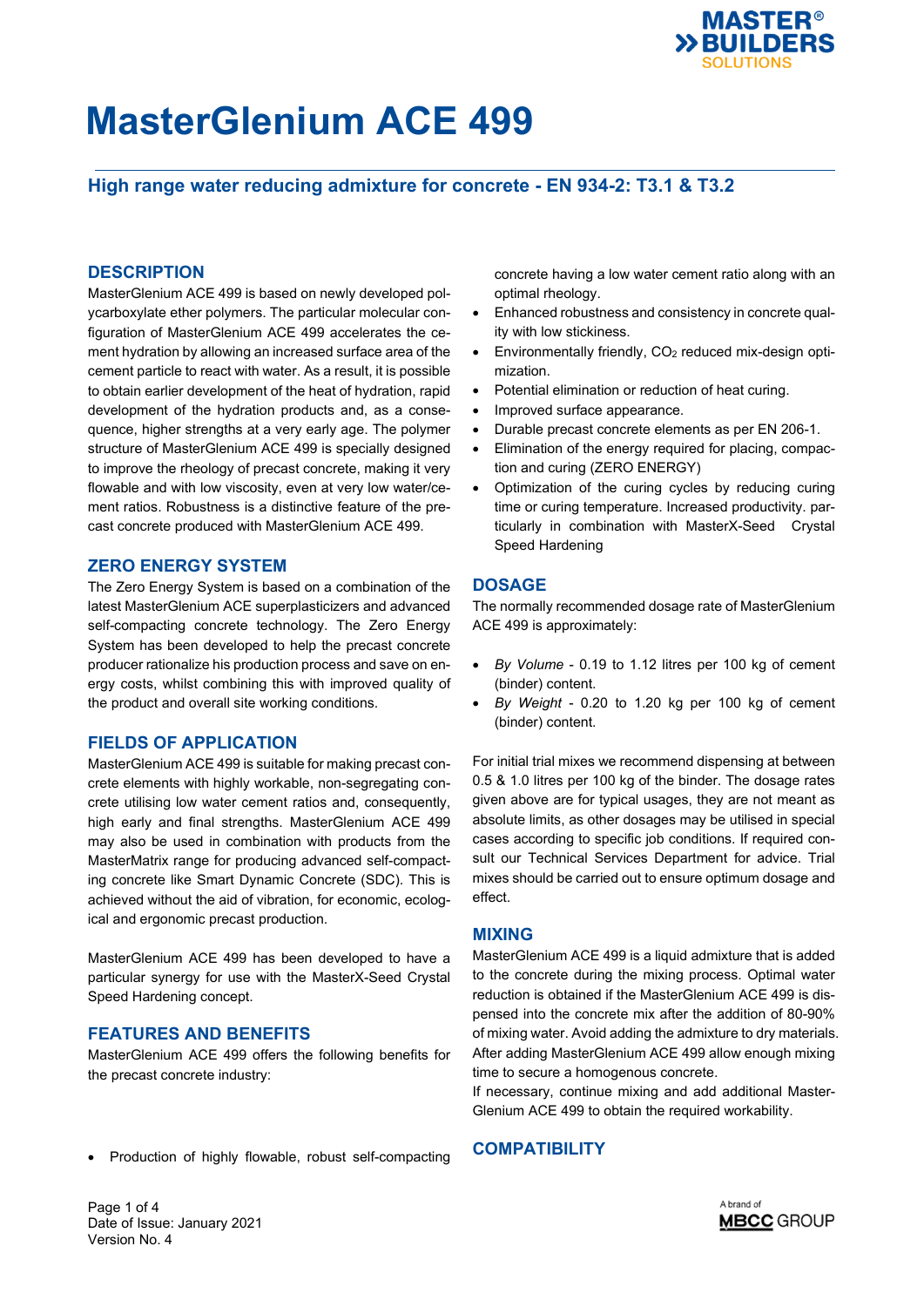

# **High range water reducing admixture for concrete - EN 934-2: T3.1 & T3.2**

### **DESCRIPTION**

MasterGlenium ACE 499 is based on newly developed polycarboxylate ether polymers. The particular molecular configuration of MasterGlenium ACE 499 accelerates the cement hydration by allowing an increased surface area of the cement particle to react with water. As a result, it is possible to obtain earlier development of the heat of hydration, rapid development of the hydration products and, as a consequence, higher strengths at a very early age. The polymer structure of MasterGlenium ACE 499 is specially designed to improve the rheology of precast concrete, making it very flowable and with low viscosity, even at very low water/cement ratios. Robustness is a distinctive feature of the precast concrete produced with MasterGlenium ACE 499.

### **ZERO ENERGY SYSTEM**

The Zero Energy System is based on a combination of the latest MasterGlenium ACE superplasticizers and advanced self-compacting concrete technology. The Zero Energy System has been developed to help the precast concrete producer rationalize his production process and save on energy costs, whilst combining this with improved quality of the product and overall site working conditions.

### **FIELDS OF APPLICATION**

MasterGlenium ACE 499 is suitable for making precast concrete elements with highly workable, non-segregating concrete utilising low water cement ratios and, consequently, high early and final strengths. MasterGlenium ACE 499 may also be used in combination with products from the MasterMatrix range for producing advanced self-compacting concrete like Smart Dynamic Concrete (SDC). This is achieved without the aid of vibration, for economic, ecological and ergonomic precast production.

MasterGlenium ACE 499 has been developed to have a particular synergy for use with the MasterX-Seed Crystal Speed Hardening concept.

## **FEATURES AND BENEFITS**

MasterGlenium ACE 499 offers the following benefits for the precast concrete industry:

Production of highly flowable, robust self-compacting

concrete having a low water cement ratio along with an optimal rheology.

- Enhanced robustness and consistency in concrete quality with low stickiness.
- Environmentally friendly, CO<sub>2</sub> reduced mix-design optimization.
- Potential elimination or reduction of heat curing.
- Improved surface appearance.
- Durable precast concrete elements as per EN 206-1.
- Elimination of the energy required for placing, compaction and curing (ZERO ENERGY)
- Optimization of the curing cycles by reducing curing time or curing temperature. Increased productivity. particularly in combination with MasterX-Seed Crystal Speed Hardening

## **DOSAGE**

The normally recommended dosage rate of MasterGlenium ACE 499 is approximately:

- *By Volume* 0.19 to 1.12 litres per 100 kg of cement (binder) content.
- *By Weight* 0.20 to 1.20 kg per 100 kg of cement (binder) content.

For initial trial mixes we recommend dispensing at between 0.5 & 1.0 litres per 100 kg of the binder. The dosage rates given above are for typical usages, they are not meant as absolute limits, as other dosages may be utilised in special cases according to specific job conditions. If required consult our Technical Services Department for advice. Trial mixes should be carried out to ensure optimum dosage and effect.

#### **MIXING**

MasterGlenium ACE 499 is a liquid admixture that is added to the concrete during the mixing process. Optimal water reduction is obtained if the MasterGlenium ACE 499 is dispensed into the concrete mix after the addition of 80-90% of mixing water. Avoid adding the admixture to dry materials. After adding MasterGlenium ACE 499 allow enough mixing time to secure a homogenous concrete.

If necessary, continue mixing and add additional Master-Glenium ACE 499 to obtain the required workability.

### **COMPATIBILITY**

Page 1 of 4 Date of Issue: January 2021 Version No. 4

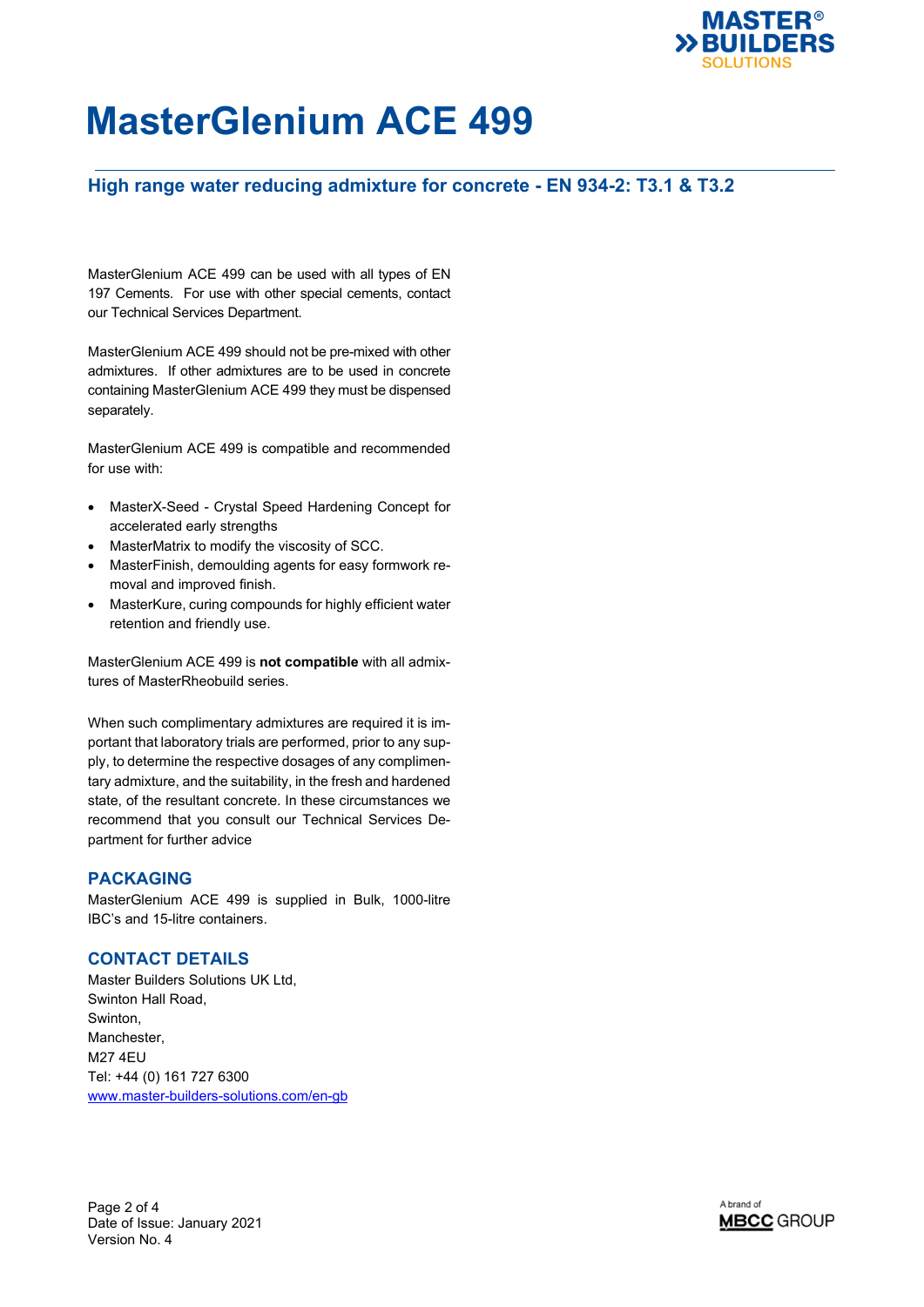

# **High range water reducing admixture for concrete - EN 934-2: T3.1 & T3.2**

MasterGlenium ACE 499 can be used with all types of EN 197 Cements. For use with other special cements, contact our Technical Services Department.

MasterGlenium ACE 499 should not be pre-mixed with other admixtures. If other admixtures are to be used in concrete containing MasterGlenium ACE 499 they must be dispensed separately.

MasterGlenium ACE 499 is compatible and recommended for use with:

- MasterX-Seed Crystal Speed Hardening Concept for accelerated early strengths
- MasterMatrix to modify the viscosity of SCC.
- MasterFinish, demoulding agents for easy formwork removal and improved finish.
- MasterKure, curing compounds for highly efficient water retention and friendly use.

MasterGlenium ACE 499 is **not compatible** with all admixtures of MasterRheobuild series.

When such complimentary admixtures are required it is important that laboratory trials are performed, prior to any supply, to determine the respective dosages of any complimentary admixture, and the suitability, in the fresh and hardened state, of the resultant concrete. In these circumstances we recommend that you consult our Technical Services Department for further advice

## **PACKAGING**

MasterGlenium ACE 499 is supplied in Bulk, 1000-litre IBC's and 15-litre containers.

# **CONTACT DETAILS**

Master Builders Solutions UK Ltd, Swinton Hall Road, Swinton, Manchester, M27 4EU Tel: +44 (0) 161 727 6300 [www.master-builders-solutions.com/en-gb](http://www.master-builders-solutions.com/en-gb)

Page 2 of 4 Date of Issue: January 2021 Version No. 4

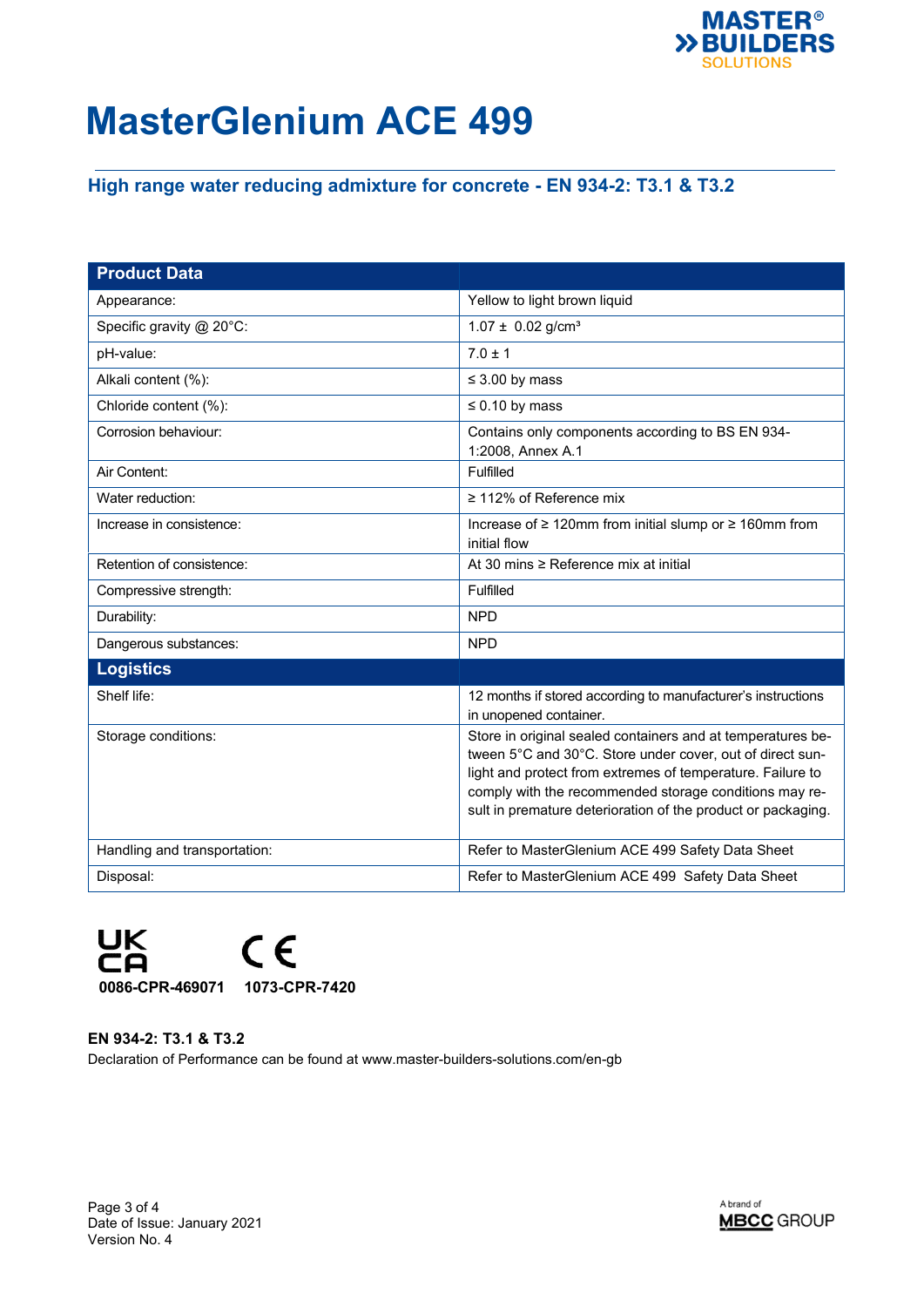

# **High range water reducing admixture for concrete - EN 934-2: T3.1 & T3.2**

| <b>Product Data</b>          |                                                                                                                                                                                                                                                                                                                  |
|------------------------------|------------------------------------------------------------------------------------------------------------------------------------------------------------------------------------------------------------------------------------------------------------------------------------------------------------------|
| Appearance:                  | Yellow to light brown liquid                                                                                                                                                                                                                                                                                     |
| Specific gravity @ 20°C:     | $1.07 \pm 0.02$ g/cm <sup>3</sup>                                                                                                                                                                                                                                                                                |
| pH-value:                    | $7.0 \pm 1$                                                                                                                                                                                                                                                                                                      |
| Alkali content (%):          | $\leq$ 3.00 by mass                                                                                                                                                                                                                                                                                              |
| Chloride content (%):        | $\leq 0.10$ by mass                                                                                                                                                                                                                                                                                              |
| Corrosion behaviour:         | Contains only components according to BS EN 934-<br>1:2008, Annex A.1                                                                                                                                                                                                                                            |
| Air Content:                 | Fulfilled                                                                                                                                                                                                                                                                                                        |
| Water reduction:             | $\geq$ 112% of Reference mix                                                                                                                                                                                                                                                                                     |
| Increase in consistence:     | Increase of $\geq 120$ mm from initial slump or $\geq 160$ mm from<br>initial flow                                                                                                                                                                                                                               |
| Retention of consistence:    | At 30 mins ≥ Reference mix at initial                                                                                                                                                                                                                                                                            |
| Compressive strength:        | Fulfilled                                                                                                                                                                                                                                                                                                        |
| Durability:                  | <b>NPD</b>                                                                                                                                                                                                                                                                                                       |
| Dangerous substances:        | <b>NPD</b>                                                                                                                                                                                                                                                                                                       |
| <b>Logistics</b>             |                                                                                                                                                                                                                                                                                                                  |
| Shelf life:                  | 12 months if stored according to manufacturer's instructions<br>in unopened container.                                                                                                                                                                                                                           |
| Storage conditions:          | Store in original sealed containers and at temperatures be-<br>tween 5°C and 30°C. Store under cover, out of direct sun-<br>light and protect from extremes of temperature. Failure to<br>comply with the recommended storage conditions may re-<br>sult in premature deterioration of the product or packaging. |
| Handling and transportation: | Refer to MasterGlenium ACE 499 Safety Data Sheet                                                                                                                                                                                                                                                                 |
| Disposal:                    | Refer to MasterGlenium ACE 499 Safety Data Sheet                                                                                                                                                                                                                                                                 |



**EN 934-2: T3.1 & T3.2** Declaration of Performance can be found at www.master-builders-solutions.com/en-gb